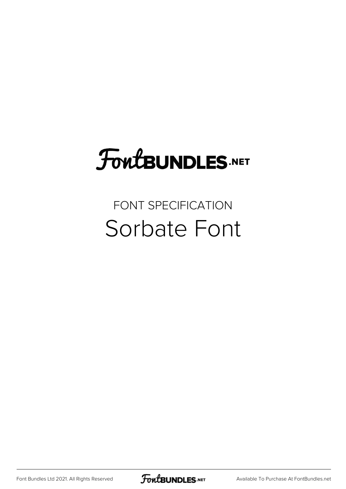## FoutBUNDLES.NET

#### FONT SPECIFICATION Sorbate Font

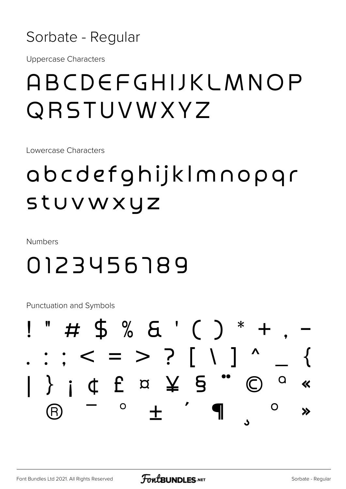

**Uppercase Characters** 

#### ABCDEFGHIJKLMNOP QRSTUVWXYZ

Lowercase Characters

### abcdefghijklmnopgr stuvwxyz

**Numbers** 

#### 0123456189

**Punctuation and Symbols** 

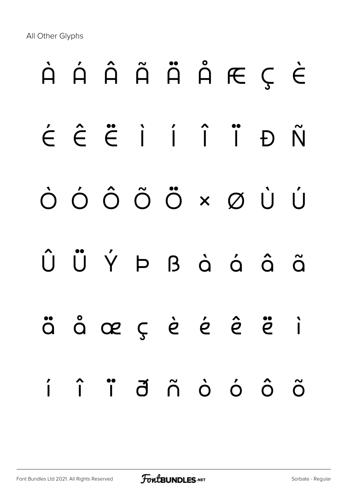All Other Glyphs

# À Á Â Ã Ä Å Æ Ç È É Ê Ë Ì Í Î Ï Ð Ñ Ò Ó Ô Õ Ö × Ø Ù Ú Û Ü Ý Þ ß à á â ã ä å æ ç è é ê ë ì í î ï ð ñ ò ó ô õ